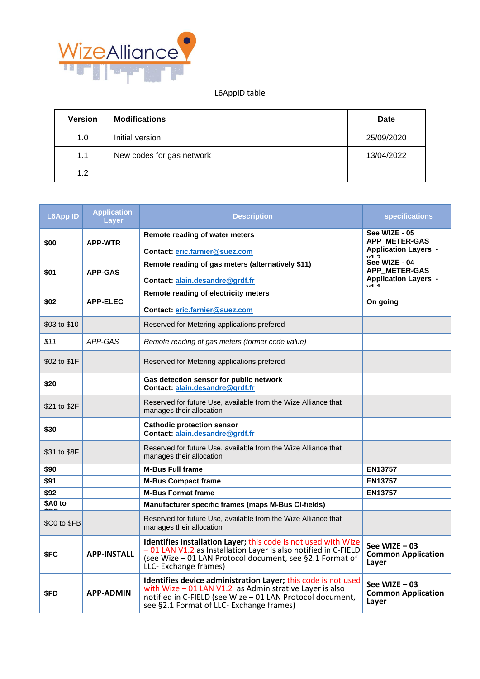

## L6AppID table

| <b>Version</b> | <b>Modifications</b>      | Date       |
|----------------|---------------------------|------------|
| 1.0            | Initial version           | 25/09/2020 |
| 1.1            | New codes for gas network | 13/04/2022 |
| 1.2            |                           |            |

| <b>L6App ID</b> | <b>Application</b><br>Layer | <b>Description</b>                                                                                                                                                                                                                 | <b>specifications</b>                                |
|-----------------|-----------------------------|------------------------------------------------------------------------------------------------------------------------------------------------------------------------------------------------------------------------------------|------------------------------------------------------|
| \$00            | <b>APP-WTR</b>              | Remote reading of water meters                                                                                                                                                                                                     | See WIZE - 05<br><b>APP_METER-GAS</b>                |
|                 |                             | Contact: eric.farnier@suez.com                                                                                                                                                                                                     | <b>Application Layers -</b>                          |
| \$01            | <b>APP-GAS</b>              | Remote reading of gas meters (alternatively \$11)                                                                                                                                                                                  | See WIZE - 04<br><b>APP METER-GAS</b>                |
|                 |                             | Contact: alain.desandre@grdf.fr                                                                                                                                                                                                    | <b>Application Layers -</b>                          |
| \$02            | <b>APP-ELEC</b>             | Remote reading of electricity meters                                                                                                                                                                                               | On going                                             |
|                 |                             | Contact: eric.farnier@suez.com                                                                                                                                                                                                     |                                                      |
| \$03 to \$10    |                             | Reserved for Metering applications prefered                                                                                                                                                                                        |                                                      |
| \$11            | APP-GAS                     | Remote reading of gas meters (former code value)                                                                                                                                                                                   |                                                      |
| \$02 to \$1F    |                             | Reserved for Metering applications prefered                                                                                                                                                                                        |                                                      |
| \$20            |                             | Gas detection sensor for public network<br>Contact: alain.desandre@grdf.fr                                                                                                                                                         |                                                      |
| \$21 to \$2F    |                             | Reserved for future Use, available from the Wize Alliance that<br>manages their allocation                                                                                                                                         |                                                      |
| \$30            |                             | <b>Cathodic protection sensor</b><br>Contact: alain.desandre@grdf.fr                                                                                                                                                               |                                                      |
| \$31 to \$8F    |                             | Reserved for future Use, available from the Wize Alliance that<br>manages their allocation                                                                                                                                         |                                                      |
| \$90            |                             | <b>M-Bus Full frame</b>                                                                                                                                                                                                            | <b>EN13757</b>                                       |
| \$91            |                             | <b>M-Bus Compact frame</b>                                                                                                                                                                                                         | <b>EN13757</b>                                       |
| \$92            |                             | <b>M-Bus Format frame</b>                                                                                                                                                                                                          | <b>EN13757</b>                                       |
| \$A0 to         |                             | Manufacturer specific frames (maps M-Bus CI-fields)                                                                                                                                                                                |                                                      |
| \$C0 to \$FB    |                             | Reserved for future Use, available from the Wize Alliance that<br>manages their allocation                                                                                                                                         |                                                      |
| \$FC            | <b>APP-INSTALL</b>          | Identifies Installation Layer; this code is not used with Wize<br>- 01 LAN V1.2 as Installation Layer is also notified in C-FIELD<br>(see Wize - 01 LAN Protocol document, see §2.1 Format of<br>LLC- Exchange frames)             | See WIZE $-03$<br><b>Common Application</b><br>Layer |
| \$FD            | <b>APP-ADMIN</b>            | Identifies device administration Layer; this code is not used<br>with Wize $-01$ LAN V1.2 as Administrative Layer is also<br>notified in C-FIELD (see Wize - 01 LAN Protocol document,<br>see §2.1 Format of LLC- Exchange frames) | See WIZE $-03$<br><b>Common Application</b><br>Layer |